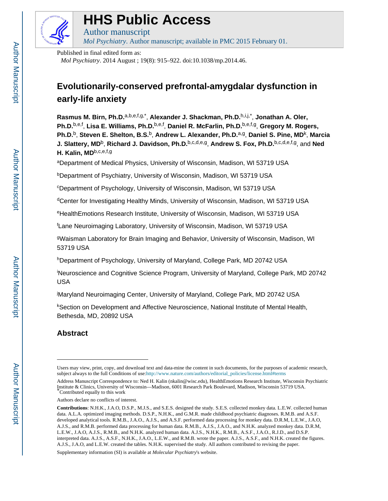

# **HHS Public Access**

Author manuscript *Mol Psychiatry*. Author manuscript; available in PMC 2015 February 01.

Published in final edited form as:

*Mol Psychiatry*. 2014 August ; 19(8): 915–922. doi:10.1038/mp.2014.46.

# **Evolutionarily-conserved prefrontal-amygdalar dysfunction in early-life anxiety**

**Rasmus M. Birn, Ph.D.**a,b,e,f,g,\* , **Alexander J. Shackman, Ph.D.**h,i,j,\* , **Jonathan A. Oler, Ph.D.**b,e,f , **Lisa E. Williams, Ph.D.**b,e,f , **Daniel R. McFarlin, Ph.D.**b,e,f,g, **Gregory M. Rogers, Ph.D.**b, **Steven E. Shelton, B.S.**b, **Andrew L. Alexander, Ph.D.**a,g, **Daniel S. Pine, MD**<sup>k</sup> , **Marcia J. Slattery, MD**b, **Richard J. Davidson, Ph.D.**b,c,d,e,g, **Andrew S. Fox, Ph.D.**b,c,d,e,f,g, and **Ned H. Kalin, MD**b,c,e,f,g

<sup>a</sup>Department of Medical Physics, University of Wisconsin, Madison, WI 53719 USA

<sup>b</sup>Department of Psychiatry, University of Wisconsin, Madison, WI 53719 USA

<sup>c</sup>Department of Psychology, University of Wisconsin, Madison, WI 53719 USA

<sup>d</sup>Center for Investigating Healthy Minds, University of Wisconsin, Madison, WI 53719 USA

<sup>e</sup>HealthEmotions Research Institute, University of Wisconsin, Madison, WI 53719 USA

<sup>f</sup>Lane Neuroimaging Laboratory, University of Wisconsin, Madison, WI 53719 USA

<sup>g</sup>Waisman Laboratory for Brain Imaging and Behavior, University of Wisconsin, Madison, WI 53719 USA

hDepartment of Psychology, University of Maryland, College Park, MD 20742 USA

<sup>i</sup>Neuroscience and Cognitive Science Program, University of Maryland, College Park, MD 20742 USA

<sup>j</sup>Maryland Neuroimaging Center, University of Maryland, College Park, MD 20742 USA

<sup>k</sup>Section on Development and Affective Neuroscience, National Institute of Mental Health, Bethesda, MD, 20892 USA

# **Abstract**

Supplementary information (SI) is available at *Molecular Psychiatry*'s website.

Users may view, print, copy, and download text and data-mine the content in such documents, for the purposes of academic research, subject always to the full Conditions of use:[http://www.nature.com/authors/editorial\\_policies/license.html#terms](http://www.nature.com/authors/editorial_policies/license.html#terms)

Address Manuscript Correspondence to: Ned H. Kalin (nkalin@wisc.edu), HealthEmotions Research Institute, Wisconsin Psychiatric Institute & Clinics, University of Wisconsin—Madison, 6001 Research Park Boulevard, Madison, Wisconsin 53719 USA. \*Contributed equally to this work

Authors declare no conflicts of interest.

**Contributions**: N.H.K., J.A.O, D.S.P., M.J.S., and S.E.S. designed the study. S.E.S. collected monkey data. L.E.W. collected human data. A.L.A. optimized imaging methods. D.S.P., N.H.K., and G.M.R. made childhood psychiatric diagnoses. R.M.B. and A.S.F. developed analytical tools. R.M.B., J.A.O., A.J.S., and A.S.F. performed data processing for monkey data. D.R.M, L.E.W., J.A.O, A.J.S., and R.M.B. performed data processing for human data. R.M.B., A.J.S., J.A.O., and N.H.K. analyzed monkey data. D.R.M, L.E.W., J.A.O, A.J.S., R.M.B., and N.H.K. analyzed human data. A.J.S., N.H.K., R.M.B., A.S.F., J.A.O., R.J.D., and D.S.P. interpreted data. A.J.S., A.S.F., N.H.K., J.A.O., L.E.W., and R.M.B. wrote the paper. A.J.S., A.S.F., and N.H.K. created the figures. A.J.S., J.A.O, and L.E.W. created the tables. N.H.K. supervised the study. All authors contributed to revising the paper.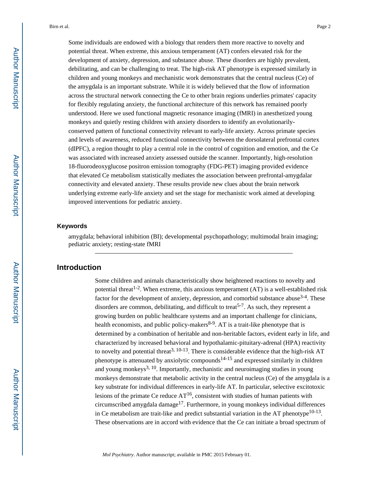Some individuals are endowed with a biology that renders them more reactive to novelty and potential threat. When extreme, this anxious temperament (AT) confers elevated risk for the development of anxiety, depression, and substance abuse. These disorders are highly prevalent, debilitating, and can be challenging to treat. The high-risk AT phenotype is expressed similarly in children and young monkeys and mechanistic work demonstrates that the central nucleus (Ce) of the amygdala is an important substrate. While it is widely believed that the flow of information across the structural network connecting the Ce to other brain regions underlies primates' capacity for flexibly regulating anxiety, the functional architecture of this network has remained poorly understood. Here we used functional magnetic resonance imaging (fMRI) in anesthetized young monkeys and quietly resting children with anxiety disorders to identify an evolutionarilyconserved pattern of functional connectivity relevant to early-life anxiety. Across primate species and levels of awareness, reduced functional connectivity between the dorsolateral prefrontal cortex (dlPFC), a region thought to play a central role in the control of cognition and emotion, and the Ce was associated with increased anxiety assessed outside the scanner. Importantly, high-resolution 18-fluorodeoxyglucose positron emission tomography (FDG-PET) imaging provided evidence that elevated Ce metabolism statistically mediates the association between prefrontal-amygdalar connectivity and elevated anxiety. These results provide new clues about the brain network underlying extreme early-life anxiety and set the stage for mechanistic work aimed at developing improved interventions for pediatric anxiety.

#### **Keywords**

amygdala; behavioral inhibition (BI); developmental psychopathology; multimodal brain imaging; pediatric anxiety; resting-state fMRI

# **Introduction**

Some children and animals characteristically show heightened reactions to novelty and potential threat<sup>1-2</sup>. When extreme, this anxious temperament  $(AT)$  is a well-established risk factor for the development of anxiety, depression, and comorbid substance abuse<sup>3-4</sup>. These disorders are common, debilitating, and difficult to treat<sup>5-7</sup>. As such, they represent a growing burden on public healthcare systems and an important challenge for clinicians, health economists, and public policy-makers<sup>8-9</sup>. AT is a trait-like phenotype that is determined by a combination of heritable and non-heritable factors, evident early in life, and characterized by increased behavioral and hypothalamic-pituitary-adrenal (HPA) reactivity to novelty and potential threat<sup>3, 10-13</sup>. There is considerable evidence that the high-risk AT phenotype is attenuated by anxiolytic compounds<sup>14-15</sup> and expressed similarly in children and young monkeys<sup>3, 10</sup>. Importantly, mechanistic and neuroimaging studies in young monkeys demonstrate that metabolic activity in the central nucleus (Ce) of the amygdala is a key substrate for individual differences in early-life AT. In particular, selective excitotoxic lesions of the primate Ce reduce  $AT^{16}$ , consistent with studies of human patients with circumscribed amygdala damage<sup>17</sup>. Furthermore, in young monkeys individual differences in Ce metabolism are trait-like and predict substantial variation in the AT phenotype<sup>10-13</sup>. These observations are in accord with evidence that the Ce can initiate a broad spectrum of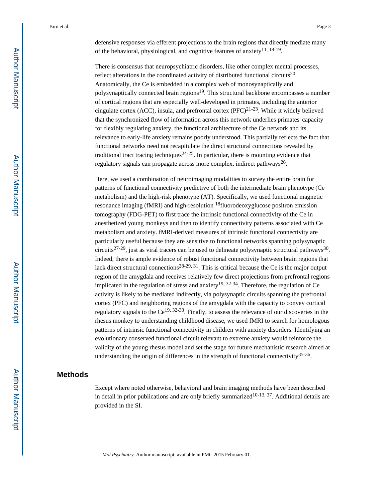defensive responses via efferent projections to the brain regions that directly mediate many of the behavioral, physiological, and cognitive features of anxiety $11, 18-19$ .

There is consensus that neuropsychiatric disorders, like other complex mental processes, reflect alterations in the coordinated activity of distributed functional circuits<sup>20</sup>. Anatomically, the Ce is embedded in a complex web of monosynaptically and polysynaptically connected brain regions<sup>19</sup>. This structural backbone encompasses a number of cortical regions that are especially well-developed in primates, including the anterior cingulate cortex (ACC), insula, and prefrontal cortex (PFC) $^{21-23}$ . While it widely believed that the synchronized flow of information across this network underlies primates' capacity for flexibly regulating anxiety, the functional architecture of the Ce network and its relevance to early-life anxiety remains poorly understood. This partially reflects the fact that functional networks need not recapitulate the direct structural connections revealed by traditional tract tracing techniques<sup>24-25</sup>. In particular, there is mounting evidence that regulatory signals can propagate across more complex, indirect pathways<sup>26</sup>.

Here, we used a combination of neuroimaging modalities to survey the entire brain for patterns of functional connectivity predictive of both the intermediate brain phenotype (Ce metabolism) and the high-risk phenotype (AT). Specifically, we used functional magnetic resonance imaging (fMRI) and high-resolution 18fluorodeoxyglucose positron emission tomography (FDG-PET) to first trace the intrinsic functional connectivity of the Ce in anesthetized young monkeys and then to identify connectivity patterns associated with Ce metabolism and anxiety. fMRI-derived measures of intrinsic functional connectivity are particularly useful because they are sensitive to functional networks spanning polysynaptic circuits<sup>27-29</sup>, just as viral tracers can be used to delineate polysynaptic structural pathways<sup>30</sup>. Indeed, there is ample evidence of robust functional connectivity between brain regions that lack direct structural connections<sup>28-29, 31</sup>. This is critical because the Ce is the major output region of the amygdala and receives relatively few direct projections from prefrontal regions implicated in the regulation of stress and anxiety<sup>19, 32-34</sup>. Therefore, the regulation of Ce activity is likely to be mediated indirectly, via polysynaptic circuits spanning the prefrontal cortex (PFC) and neighboring regions of the amygdala with the capacity to convey cortical regulatory signals to the  $Ce^{19, 32-33}$ . Finally, to assess the relevance of our discoveries in the rhesus monkey to understanding childhood disease, we used fMRI to search for homologous patterns of intrinsic functional connectivity in children with anxiety disorders. Identifying an evolutionary conserved functional circuit relevant to extreme anxiety would reinforce the validity of the young rhesus model and set the stage for future mechanistic research aimed at understanding the origin of differences in the strength of functional connectivity<sup>35-36</sup>.

# **Methods**

Except where noted otherwise, behavioral and brain imaging methods have been described in detail in prior publications and are only briefly summarized<sup>10-13, 37</sup>. Additional details are provided in the SI.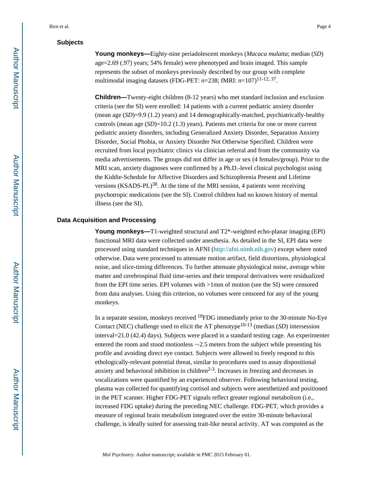# **Subjects**

**Young monkeys—**Eighty-nine periadolescent monkeys (*Macaca mulatta*; median (*SD*) age=2.69 (.97) years; 54% female) were phenotyped and brain imaged. This sample represents the subset of monkeys previously described by our group with complete multimodal imaging datasets (FDG-PET:  $n=238$ ; fMRI:  $n=107$ )<sup>11-12, 37</sup>.

**Children—**Twenty-eight children (8-12 years) who met standard inclusion and exclusion criteria (see the SI) were enrolled: 14 patients with a current pediatric anxiety disorder (mean age (*SD*)=9.9 (1.2) years) and 14 demographically-matched, psychiatrically-healthy controls (mean age (*SD*)=10.2 (1.3) years). Patients met criteria for one or more current pediatric anxiety disorders, including Generalized Anxiety Disorder, Separation Anxiety Disorder, Social Phobia, or Anxiety Disorder Not Otherwise Specified. Children were recruited from local psychiatric clinics via clinician referral and from the community via media advertisements. The groups did not differ in age or sex (4 females/group). Prior to the MRI scan, anxiety diagnoses were confirmed by a Ph.D.-level clinical psychologist using the Kiddie-Schedule for Affective Disorders and Schizophrenia Present and Lifetime versions  $(KSADS-PL)^{38}$ . At the time of the MRI session, 4 patients were receiving psychotropic medications (see the SI). Control children had no known history of mental illness (see the SI).

#### **Data Acquisition and Processing**

**Young monkeys—T1-weighted structural and T2<sup>\*</sup>-weighted echo-planar imaging (EPI)** functional MRI data were collected under anesthesia. As detailed in the SI, EPI data were processed using standard techniques in AFNI [\(http://afni.nimh.nih.gov](http://afni.nimh.nih.gov)) except where noted otherwise. Data were processed to attenuate motion artifact, field distortions, physiological noise, and slice-timing differences. To further attenuate physiological noise, average white matter and cerebrospinal fluid time-series and their temporal derivatives were residualized from the EPI time series. EPI volumes with >1mm of motion (see the SI) were censored from data analyses. Using this criterion, no volumes were censored for any of the young monkeys.

In a separate session, monkeys received 18FDG immediately prior to the 30-minute No-Eye Contact (NEC) challenge used to elicit the AT phenotype<sup>10-13</sup> (median (*SD*) intersession interval=21.0 (42.4) days). Subjects were placed in a standard testing cage. An experimenter entered the room and stood motionless ∼2.5 meters from the subject while presenting his profile and avoiding direct eye contact. Subjects were allowed to freely respond to this ethologically-relevant potential threat, similar to procedures used to assay dispositional anxiety and behavioral inhibition in children $2-3$ . Increases in freezing and decreases in vocalizations were quantified by an experienced observer. Following behavioral testing, plasma was collected for quantifying cortisol and subjects were anesthetized and positioned in the PET scanner. Higher FDG-PET signals reflect greater regional metabolism (i.e., increased FDG uptake) during the preceding NEC challenge. FDG-PET, which provides a measure of regional brain metabolism integrated over the entire 30-minute behavioral challenge, is ideally suited for assessing trait-like neural activity. AT was computed as the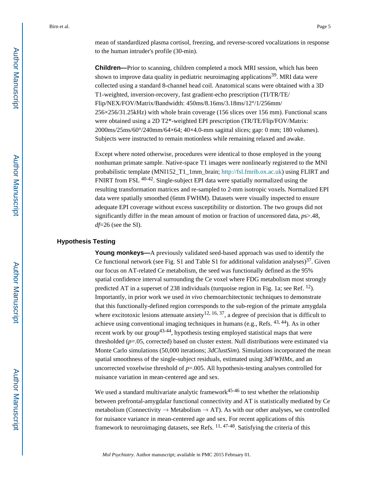mean of standardized plasma cortisol, freezing, and reverse-scored vocalizations in response to the human intruder's profile (30-min).

**Children—**Prior to scanning, children completed a mock MRI session, which has been shown to improve data quality in pediatric neuroimaging applications<sup>39</sup>. MRI data were collected using a standard 8-channel head coil. Anatomical scans were obtained with a 3D T1-weighted, inversion-recovery, fast gradient-echo prescription (TI/TR/TE/ Flip/NEX/FOV/Matrix/Bandwidth: 450ms/8.16ms/3.18ms/12°/1/256mm/ 256×256/31.25kHz) with whole brain coverage (156 slices over 156 mm). Functional scans were obtained using a 2D T2\*-weighted EPI prescription (TR/TE/Flip/FOV/Matrix: 2000ms/25ms/60°/240mm/64×64; 40×4.0-mm sagittal slices; gap: 0 mm; 180 volumes). Subjects were instructed to remain motionless while remaining relaxed and awake.

Except where noted otherwise, procedures were identical to those employed in the young nonhuman primate sample. Native-space T1 images were nonlinearly registered to the MNI probabilistic template (MNI152\_T1\_1mm\_brain; [http://fsl.fmrib.ox.ac.uk\)](http://fsl.fmrib.ox.ac.uk) using FLIRT and FNIRT from FSL 40-42. Single-subject EPI data were spatially normalized using the resulting transformation matrices and re-sampled to 2-mm isotropic voxels. Normalized EPI data were spatially smoothed (6mm FWHM). Datasets were visually inspected to ensure adequate EPI coverage without excess susceptibility or distortion. The two groups did not significantly differ in the mean amount of motion or fraction of uncensored data, *p*s>.48, *df*=26 (see the SI).

## **Hypothesis Testing**

**Young monkeys—**A previously validated seed-based approach was used to identify the Ce functional network (see Fig. S1 and Table S1 for additional validation analyses)<sup>37</sup>. Given our focus on AT-related Ce metabolism, the seed was functionally defined as the 95% spatial confidence interval surrounding the Ce voxel where FDG metabolism most strongly predicted AT in a superset of 238 individuals (turquoise region in Fig. 1a; see Ref. <sup>12</sup>). Importantly, in prior work we used *in vivo* chemoarchitectonic techniques to demonstrate that this functionally-defined region corresponds to the sub-region of the primate amygdala where excitotoxic lesions attenuate anxiety<sup>12, 16, 37</sup>, a degree of precision that is difficult to achieve using conventional imaging techniques in humans (e.g., Refs. 43, 44). As in other recent work by our group<sup>43-44</sup>, hypothesis testing employed statistical maps that were thresholded (*p*=.05, corrected) based on cluster extent. Null distributions were estimated via Monte Carlo simulations (50,000 iterations;  $3dClustSim$ ). Simulations incorporated the mean spatial smoothness of the single-subject residuals, estimated using *3dFWHMx*, and an uncorrected voxelwise threshold of *p*=.005. All hypothesis-testing analyses controlled for nuisance variation in mean-centered age and sex.

We used a standard multivariate analytic framework<sup>45-46</sup> to test whether the relationship between prefrontal-amygdalar functional connectivity and AT is statistically mediated by Ce metabolism (Connectivity  $\rightarrow$  Metabolism  $\rightarrow$  AT). As with our other analyses, we controlled for nuisance variance in mean-centered age and sex. For recent applications of this framework to neuroimaging datasets, see Refs.  $11, 47-48$ . Satisfying the criteria of this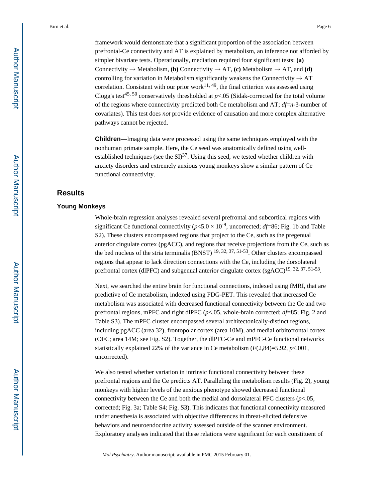framework would demonstrate that a significant proportion of the association between prefrontal-Ce connectivity and AT is explained by metabolism, an inference not afforded by simpler bivariate tests. Operationally, mediation required four significant tests: **(a)**  Connectivity  $\rightarrow$  Metabolism, **(b)** Connectivity  $\rightarrow$  AT, **(c)** Metabolism  $\rightarrow$  AT, and **(d)** controlling for variation in Metabolism significantly weakens the Connectivity  $\rightarrow$  AT correlation. Consistent with our prior work $11, 49$ , the final criterion was assessed using Clogg's test<sup>45, 50</sup> conservatively thresholded at  $p<0.05$  (Sidak-corrected for the total volume of the regions where connectivity predicted both Ce metabolism and AT; *df*=*n*-3-number of covariates). This test does *not* provide evidence of causation and more complex alternative pathways cannot be rejected.

**Children—**Imaging data were processed using the same techniques employed with the nonhuman primate sample. Here, the Ce seed was anatomically defined using wellestablished techniques (see the  $SI$ )<sup>37</sup>. Using this seed, we tested whether children with anxiety disorders and extremely anxious young monkeys show a similar pattern of Ce functional connectivity.

# **Results**

## **Young Monkeys**

Whole-brain regression analyses revealed several prefrontal and subcortical regions with significant Ce functional connectivity ( $p < 5.0 \times 10^{-9}$ , uncorrected; *df*=86; Fig. 1b and Table S2). These clusters encompassed regions that project to the Ce, such as the pregenual anterior cingulate cortex (pgACC), and regions that receive projections from the Ce, such as the bed nucleus of the stria terminalis (BNST)  $^{19, 32, 37, 51-53}$ . Other clusters encompassed regions that appear to lack direction connections with the Ce, including the dorsolateral prefrontal cortex (dlPFC) and subgenual anterior cingulate cortex  $(sgACC)^{19}$ , 32, 37, 51-53.

Next, we searched the entire brain for functional connections, indexed using fMRI, that are predictive of Ce metabolism, indexed using FDG-PET. This revealed that increased Ce metabolism was associated with decreased functional connectivity between the Ce and two prefrontal regions, mPFC and right dlPFC (*p*<.05, whole-brain corrected; *df*=85; Fig. 2 and Table S3). The mPFC cluster encompassed several architectonically-distinct regions, including pgACC (area 32), frontopolar cortex (area 10M), and medial orbitofrontal cortex (OFC; area 14M; see Fig. S2). Together, the dlPFC-Ce and mPFC-Ce functional networks statistically explained 22% of the variance in Ce metabolism  $(F(2,84)=5.92, p<.001,$ uncorrected).

We also tested whether variation in intrinsic functional connectivity between these prefrontal regions and the Ce predicts AT. Paralleling the metabolism results (Fig. 2), young monkeys with higher levels of the anxious phenotype showed decreased functional connectivity between the Ce and both the medial and dorsolateral PFC clusters  $(p<.05,$ corrected; Fig. 3a; Table S4; Fig. S3). This indicates that functional connectivity measured under anesthesia is associated with objective differences in threat-elicited defensive behaviors and neuroendocrine activity assessed outside of the scanner environment. Exploratory analyses indicated that these relations were significant for each constituent of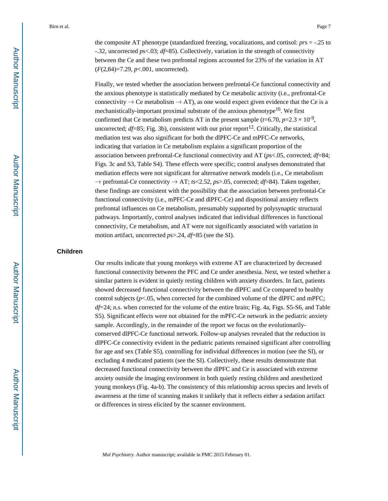the composite AT phenotype (standardized freezing, vocalizations, and cortisol: *pr*s = -.25 to -.32, uncorrected *p*s<.03; *df*=85). Collectively, variation in the strength of connectivity between the Ce and these two prefrontal regions accounted for 23% of the variation in AT (*F*(2,84)=7.29, *p*<.001, uncorrected).

Finally, we tested whether the association between prefrontal-Ce functional connectivity and the anxious phenotype is statistically mediated by Ce metabolic activity (i.e., prefrontal-Ce connectivity  $\rightarrow$  Ce metabolism  $\rightarrow$  AT), as one would expect given evidence that the Ce is a mechanistically-important proximal substrate of the anxious phenotype<sup>16</sup>. We first confirmed that Ce metabolism predicts AT in the present sample  $(t=6.70, p=2.3 \times 10^{-9})$ , uncorrected;  $df=85$ ; Fig. 3b), consistent with our prior report<sup>12</sup>. Critically, the statistical mediation test was also significant for both the dlPFC-Ce and mPFC-Ce networks, indicating that variation in Ce metabolism explains a significant proportion of the association between prefrontal-Ce functional connectivity and AT (*p*s<.05, corrected; *df*=84; Figs. 3c and S3, Table S4). These effects were specific; control analyses demonstrated that mediation effects were not significant for alternative network models (i.e., Ce metabolism → prefrontal-Ce connectivity → AT; *t*s<2.52, *p*s>.05, corrected; *df*=84). Taken together, these findings are consistent with the possibility that the association between prefrontal-Ce functional connectivity (i.e., mPFC-Ce and dlPFC-Ce) and dispositional anxiety reflects prefrontal influences on Ce metabolism, presumably supported by polysynaptic structural pathways. Importantly, control analyses indicated that individual differences in functional connectivity, Ce metabolism, and AT were not significantly associated with variation in motion artifact, uncorrected *p*s>.24, *df*=85 (see the SI).

### **Children**

Our results indicate that young monkeys with extreme AT are characterized by decreased functional connectivity between the PFC and Ce under anesthesia. Next, we tested whether a similar pattern is evident in quietly resting children with anxiety disorders. In fact, patients showed decreased functional connectivity between the dlPFC and Ce compared to healthy control subjects ( $p$ <.05, when corrected for the combined volume of the dlPFC and mPFC; *df*=24; n.s. when corrected for the volume of the entire brain; Fig. 4a, Figs. S5-S6, and Table S5). Significant effects were not obtained for the mPFC-Ce network in the pediatric anxiety sample. Accordingly, in the remainder of the report we focus on the evolutionarilyconserved dlPFC-Ce functional network. Follow-up analyses revealed that the reduction in dlPFC-Ce connectivity evident in the pediatric patients remained significant after controlling for age and sex (Table S5), controlling for individual differences in motion (see the SI), or excluding 4 medicated patients (see the SI). Collectively, these results demonstrate that decreased functional connectivity between the dlPFC and Ce is associated with extreme anxiety outside the imaging environment in both quietly resting children and anesthetized young monkeys (Fig. 4a-b). The consistency of this relationship across species and levels of awareness at the time of scanning makes it unlikely that it reflects either a sedation artifact or differences in stress elicited by the scanner environment.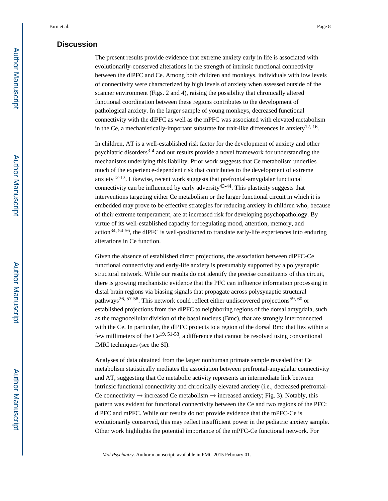# **Discussion**

The present results provide evidence that extreme anxiety early in life is associated with evolutionarily-conserved alterations in the strength of intrinsic functional connectivity between the dlPFC and Ce. Among both children and monkeys, individuals with low levels of connectivity were characterized by high levels of anxiety when assessed outside of the scanner environment (Figs. 2 and 4), raising the possibility that chronically altered functional coordination between these regions contributes to the development of pathological anxiety. In the larger sample of young monkeys, decreased functional connectivity with the dlPFC as well as the mPFC was associated with elevated metabolism in the Ce, a mechanistically-important substrate for trait-like differences in anxiety<sup>12, 16</sup>.

In children, AT is a well-established risk factor for the development of anxiety and other psychiatric disorders<sup>3-4</sup> and our results provide a novel framework for understanding the mechanisms underlying this liability. Prior work suggests that Ce metabolism underlies much of the experience-dependent risk that contributes to the development of extreme anxiety<sup>12-13</sup>. Likewise, recent work suggests that prefrontal-amygdalar functional connectivity can be influenced by early adversity  $43-44$ . This plasticity suggests that interventions targeting either Ce metabolism or the larger functional circuit in which it is embedded may prove to be effective strategies for reducing anxiety in children who, because of their extreme temperament, are at increased risk for developing psychopathology. By virtue of its well-established capacity for regulating mood, attention, memory, and action34, 54-56, the dlPFC is well-positioned to translate early-life experiences into enduring alterations in Ce function.

Given the absence of established direct projections, the association between dlPFC-Ce functional connectivity and early-life anxiety is presumably supported by a polysynaptic structural network. While our results do not identify the precise constituents of this circuit, there is growing mechanistic evidence that the PFC can influence information processing in distal brain regions via biasing signals that propagate across polysynaptic structural pathways<sup>26, 57-58</sup>. This network could reflect either undiscovered projections<sup>59, 60</sup> or established projections from the dlPFC to neighboring regions of the dorsal amygdala, such as the magnocellular division of the basal nucleus (Bmc), that are strongly interconnected with the Ce. In particular, the dlPFC projects to a region of the dorsal Bmc that lies within a few millimeters of the  $Ce^{19, 51-53}$ , a difference that cannot be resolved using conventional fMRI techniques (see the SI).

Analyses of data obtained from the larger nonhuman primate sample revealed that Ce metabolism statistically mediates the association between prefrontal-amygdalar connectivity and AT, suggesting that Ce metabolic activity represents an intermediate link between intrinsic functional connectivity and chronically elevated anxiety (i.e., decreased prefrontal-Ce connectivity  $\rightarrow$  increased Ce metabolism  $\rightarrow$  increased anxiety; Fig. 3). Notably, this pattern was evident for functional connectivity between the Ce and two regions of the PFC: dlPFC and mPFC. While our results do not provide evidence that the mPFC-Ce is evolutionarily conserved, this may reflect insufficient power in the pediatric anxiety sample. Other work highlights the potential importance of the mPFC-Ce functional network. For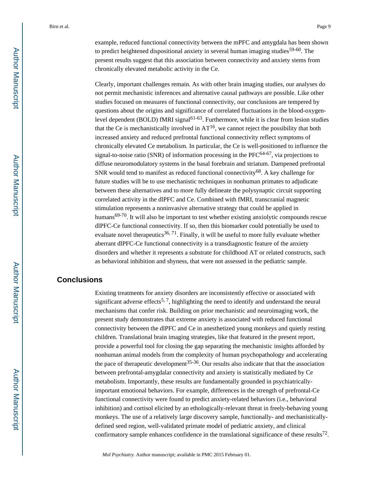example, reduced functional connectivity between the mPFC and amygdala has been shown to predict heightened dispositional anxiety in several human imaging studies<sup>59-60</sup>. The present results suggest that this association between connectivity and anxiety stems from chronically elevated metabolic activity in the Ce.

Clearly, important challenges remain. As with other brain imaging studies, our analyses do not permit mechanistic inferences and alternative causal pathways are possible. Like other studies focused on measures of functional connectivity, our conclusions are tempered by questions about the origins and significance of correlated fluctuations in the blood-oxygenlevel dependent (BOLD) fMRI signal<sup>61-63</sup>. Furthermore, while it is clear from lesion studies that the Ce is mechanistically involved in  $AT^{16}$ , we cannot reject the possibility that both increased anxiety and reduced prefrontal functional connectivity reflect symptoms of chronically elevated Ce metabolism. In particular, the Ce is well-positioned to influence the signal-to-noise ratio (SNR) of information processing in the  $PFC^{64-67}$ , via projections to diffuse neuromodulatory systems in the basal forebrain and striatum. Dampened prefrontal SNR would tend to manifest as reduced functional connectivity<sup>68</sup>. A key challenge for future studies will be to use mechanistic techniques in nonhuman primates to adjudicate between these alternatives and to more fully delineate the polysynaptic circuit supporting correlated activity in the dlPFC and Ce. Combined with fMRI, transcranial magnetic stimulation represents a noninvasive alternative strategy that could be applied in humans $69-70$ . It will also be important to test whether existing anxiolytic compounds rescue dlPFC-Ce functional connectivity. If so, then this biomarker could potentially be used to evaluate novel therapeutics<sup>36, 71</sup>. Finally, it will be useful to more fully evaluate whether aberrant dlPFC-Ce functional connectivity is a transdiagnostic feature of the anxiety disorders and whether it represents a substrate for childhood AT or related constructs, such as behavioral inhibition and shyness, that were not assessed in the pediatric sample.

# **Conclusions**

Existing treatments for anxiety disorders are inconsistently effective or associated with significant adverse effects<sup>5, 7</sup>, highlighting the need to identify and understand the neural mechanisms that confer risk. Building on prior mechanistic and neuroimaging work, the present study demonstrates that extreme anxiety is associated with reduced functional connectivity between the dlPFC and Ce in anesthetized young monkeys and quietly resting children. Translational brain imaging strategies, like that featured in the present report, provide a powerful tool for closing the gap separating the mechanistic insights afforded by nonhuman animal models from the complexity of human psychopathology and accelerating the pace of therapeutic development<sup>35-36</sup>. Our results also indicate that that the association between prefrontal-amygdalar connectivity and anxiety is statistically mediated by Ce metabolism. Importantly, these results are fundamentally grounded in psychiatricallyimportant emotional behaviors. For example, differences in the strength of prefrontal-Ce functional connectivity were found to predict anxiety-related behaviors (i.e., behavioral inhibition) and cortisol elicited by an ethologically-relevant threat in freely-behaving young monkeys. The use of a relatively large discovery sample, functionally- and mechanisticallydefined seed region, well-validated primate model of pediatric anxiety, and clinical confirmatory sample enhances confidence in the translational significance of these results<sup>72</sup>.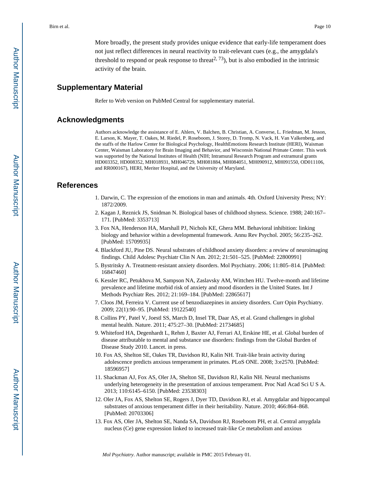More broadly, the present study provides unique evidence that early-life temperament does not just reflect differences in neural reactivity to trait-relevant cues (e.g., the amygdala's threshold to respond or peak response to threat<sup>2, 73</sup>), but is also embodied in the intrinsic activity of the brain.

# **Supplementary Material**

Refer to Web version on PubMed Central for supplementary material.

### **Acknowledgments**

Authors acknowledge the assistance of E. Ahlers, V. Balchen, B. Christian, A. Converse, L. Friedman, M. Jesson, E. Larson, K. Mayer, T. Oakes, M. Riedel, P. Roseboom, J. Storey, D. Tromp, N. Vack, H. Van Valkenberg, and the staffs of the Harlow Center for Biological Psychology, HealthEmotions Research Institute (HERI), Waisman Center, Waisman Laboratory for Brain Imaging and Behavior, and Wisconsin National Primate Center. This work was supported by the National Institutes of Health (NIH; Intramural Research Program and extramural grants HD003352, HD008352, MH018931, MH046729, MH081884, MH084051, MH090912, MH091550, OD011106, and RR000167), HERI, Meriter Hospital, and the University of Maryland.

## **References**

- 1. Darwin, C. The expression of the emotions in man and animals. 4th. Oxford University Press; NY: 1872/2009.
- 2. Kagan J, Reznick JS, Snidman N. Biological bases of childhood shyness. Science. 1988; 240:167– 171. [PubMed: 3353713]
- 3. Fox NA, Henderson HA, Marshall PJ, Nichols KE, Ghera MM. Behavioral inhibition: linking biology and behavior within a developmental framework. Annu Rev Psychol. 2005; 56:235–262. [PubMed: 15709935]
- 4. Blackford JU, Pine DS. Neural substrates of childhood anxiety disorders: a review of neuroimaging findings. Child Adolesc Psychiatr Clin N Am. 2012; 21:501–525. [PubMed: 22800991]
- 5. Bystritsky A. Treatment-resistant anxiety disorders. Mol Psychiatry. 2006; 11:805–814. [PubMed: 16847460]
- 6. Kessler RC, Petukhova M, Sampson NA, Zaslavsky AM, Wittchen HU. Twelve-month and lifetime prevalence and lifetime morbid risk of anxiety and mood disorders in the United States. Int J Methods Psychiatr Res. 2012; 21:169–184. [PubMed: 22865617]
- 7. Cloos JM, Ferreira V. Current use of benzodiazepines in anxiety disorders. Curr Opin Psychiatry. 2009; 22(1):90–95. [PubMed: 19122540]
- 8. Collins PY, Patel V, Joestl SS, March D, Insel TR, Daar AS, et al. Grand challenges in global mental health. Nature. 2011; 475:27–30. [PubMed: 21734685]
- 9. Whiteford HA, Degenhardt L, Rehm J, Baxter AJ, Ferrari AJ, Erskine HE, et al. Global burden of disease attributable to mental and substance use disorders: findings from the Global Burden of Disease Study 2010. Lancet. in press.
- 10. Fox AS, Shelton SE, Oakes TR, Davidson RJ, Kalin NH. Trait-like brain activity during adolescence predicts anxious temperament in primates. PLoS ONE. 2008; 3:e2570. [PubMed: 18596957]
- 11. Shackman AJ, Fox AS, Oler JA, Shelton SE, Davidson RJ, Kalin NH. Neural mechanisms underlying heterogeneity in the presentation of anxious temperament. Proc Natl Acad Sci U S A. 2013; 110:6145–6150. [PubMed: 23538303]
- 12. Oler JA, Fox AS, Shelton SE, Rogers J, Dyer TD, Davidson RJ, et al. Amygdalar and hippocampal substrates of anxious temperament differ in their heritability. Nature. 2010; 466:864–868. [PubMed: 20703306]
- 13. Fox AS, Oler JA, Shelton SE, Nanda SA, Davidson RJ, Roseboom PH, et al. Central amygdala nucleus (Ce) gene expression linked to increased trait-like Ce metabolism and anxious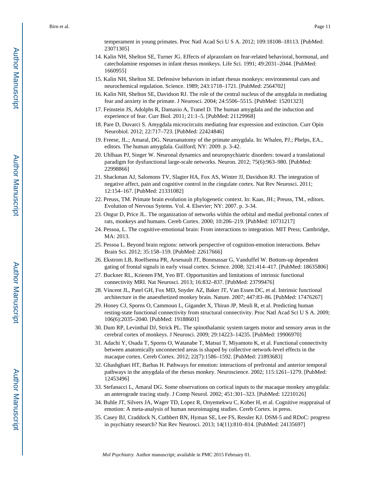temperament in young primates. Proc Natl Acad Sci U S A. 2012; 109:18108–18113. [PubMed: 23071305]

- 14. Kalin NH, Shelton SE, Turner JG. Effects of alprazolam on fear-related behavioral, hormonal, and catecholamine responses in infant rhesus monkeys. Life Sci. 1991; 49:2031–2044. [PubMed: 1660955]
- 15. Kalin NH, Shelton SE. Defensive behaviors in infant rhesus monkeys: environmental cues and neurochemical regulation. Science. 1989; 243:1718–1721. [PubMed: 2564702]
- 16. Kalin NH, Shelton SE, Davidson RJ. The role of the central nucleus of the amygdala in mediating fear and anxiety in the primate. J Neurosci. 2004; 24:5506–5515. [PubMed: 15201323]
- 17. Feinstein JS, Adolphs R, Damasio A, Tranel D. The human amygdala and the induction and experience of fear. Curr Biol. 2011; 21:1–5. [PubMed: 21129968]
- 18. Pare D, Duvarci S. Amygdala microcircuits mediating fear expression and extinction. Curr Opin Neurobiol. 2012; 22:717–723. [PubMed: 22424846]
- 19. Freese, JL.; Amaral, DG. Neuroanatomy of the primate amygdala. In: Whalen, PJ.; Phelps, EA., editors. The human amygdala. Guilford; NY: 2009. p. 3-42.
- 20. Uhlhaas PJ, Singer W. Neuronal dynamics and neuropsychiatric disorders: toward a translational paradigm for dysfunctional large-scale networks. Neuron. 2012; 75(6):963–980. [PubMed: 22998866]
- 21. Shackman AJ, Salomons TV, Slagter HA, Fox AS, Winter JJ, Davidson RJ. The integration of negative affect, pain and cognitive control in the cingulate cortex. Nat Rev Neurosci. 2011; 12:154–167. [PubMed: 21331082]
- 22. Preuss, TM. Primate brain evolution in phylogenetic context. In: Kaas, JH.; Preuss, TM., editors. Evolution of Nervous Sytems. Vol. 4. Elsevier; NY: 2007. p. 3-34.
- 23. Ongur D, Price JL. The organization of networks within the orbital and medial prefrontal cortex of rats, monkeys and humans. Cereb Cortex. 2000; 10:206–219. [PubMed: 10731217]
- 24. Pessoa, L. The cognitive-emotional brain: From interactions to integration. MIT Press; Cambridge, MA: 2013.
- 25. Pessoa L. Beyond brain regions: network perspective of cognition-emotion interactions. Behav Brain Sci. 2012; 35:158–159. [PubMed: 22617666]
- 26. Ekstrom LB, Roelfsema PR, Arsenault JT, Bonmassar G, Vanduffel W. Bottom-up dependent gating of frontal signals in early visual cortex. Science. 2008; 321:414–417. [PubMed: 18635806]
- 27. Buckner RL, Krienen FM, Yeo BT. Opportunities and limitations of intrinsic functional connectivity MRI. Nat Neurosci. 2013; 16:832–837. [PubMed: 23799476]
- 28. Vincent JL, Patel GH, Fox MD, Snyder AZ, Baker JT, Van Essen DC, et al. Intrinsic functional architecture in the anaesthetized monkey brain. Nature. 2007; 447:83–86. [PubMed: 17476267]
- 29. Honey CJ, Sporns O, Cammoun L, Gigandet X, Thiran JP, Meuli R, et al. Predicting human resting-state functional connectivity from structural connectivity. Proc Natl Acad Sci U S A. 2009; 106(6):2035–2040. [PubMed: 19188601]
- 30. Dum RP, Levinthal DJ, Strick PL. The spinothalamic system targets motor and sensory areas in the cerebral cortex of monkeys. J Neurosci. 2009; 29:14223–14235. [PubMed: 19906970]
- 31. Adachi Y, Osada T, Sporns O, Watanabe T, Matsui T, Miyamoto K, et al. Functional connectivity between anatomically unconnected areas is shaped by collective network-level effects in the macaque cortex. Cereb Cortex. 2012; 22(7):1586–1592. [PubMed: 21893683]
- 32. Ghashghaei HT, Barbas H. Pathways for emotion: interactions of prefrontal and anterior temporal pathways in the amygdala of the rhesus monkey. Neuroscience. 2002; 115:1261–1279. [PubMed: 12453496]
- 33. Stefanacci L, Amaral DG. Some observations on cortical inputs to the macaque monkey amygdala: an anterograde tracing study. J Comp Neurol. 2002; 451:301–323. [PubMed: 12210126]
- 34. Buhle JT, Silvers JA, Wager TD, Lopez R, Onyemekwu C, Kober H, et al. Cognitive reappraisal of emotion: A meta-analysis of human neuroimaging studies. Cereb Cortex. in press.
- 35. Casey BJ, Craddock N, Cuthbert BN, Hyman SE, Lee FS, Ressler KJ. DSM-5 and RDoC: progress in psychiatry research? Nat Rev Neurosci. 2013; 14(11):810–814. [PubMed: 24135697]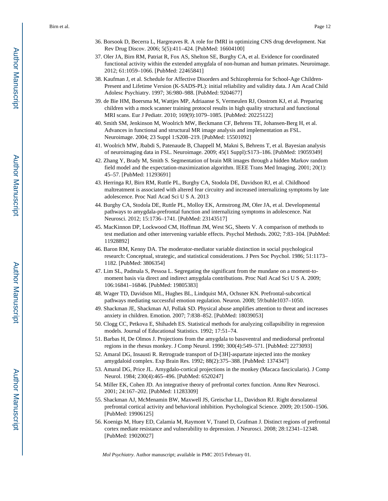- 36. Borsook D, Becerra L, Hargreaves R. A role for fMRI in optimizing CNS drug development. Nat Rev Drug Discov. 2006; 5(5):411–424. [PubMed: 16604100]
- 37. Oler JA, Birn RM, Patriat R, Fox AS, Shelton SE, Burghy CA, et al. Evidence for coordinated functional activity within the extended amygdala of non-human and human primates. Neuroimage. 2012; 61:1059–1066. [PubMed: 22465841]
- 38. Kaufman J, et al. Schedule for Affective Disorders and Schizophrenia for School-Age Children-Present and Lifetime Version (K-SADS-PL): initial reliability and validity data. J Am Acad Child Adolesc Psychiatry. 1997; 36:980–988. [PubMed: 9204677]
- 39. de Bie HM, Boersma M, Wattjes MP, Adriaanse S, Vermeulen RJ, Oostrom KJ, et al. Preparing children with a mock scanner training protocol results in high quality structural and functional MRI scans. Eur J Pediatr. 2010; 169(9):1079–1085. [PubMed: 20225122]
- 40. Smith SM, Jenkinson M, Woolrich MW, Beckmann CF, Behrens TE, Johansen-Berg H, et al. Advances in functional and structural MR image analysis and implementation as FSL. Neuroimage. 2004; 23 Suppl 1:S208–219. [PubMed: 15501092]
- 41. Woolrich MW, Jbabdi S, Patenaude B, Chappell M, Makni S, Behrens T, et al. Bayesian analysis of neuroimaging data in FSL. Neuroimage. 2009; 45(1 Suppl):S173–186. [PubMed: 19059349]
- 42. Zhang Y, Brady M, Smith S. Segmentation of brain MR images through a hidden Markov random field model and the expectation-maximization algorithm. IEEE Trans Med Imaging. 2001; 20(1): 45–57. [PubMed: 11293691]
- 43. Herringa RJ, Birn RM, Ruttle PL, Burghy CA, Stodola DE, Davidson RJ, et al. Childhood maltreatment is associated with altered fear circuitry and increased internalizing symptoms by late adolescence. Proc Natl Acad Sci U S A. 2013
- 44. Burghy CA, Stodola DE, Ruttle PL, Molloy EK, Armstrong JM, Oler JA, et al. Developmental pathways to amygdala-prefrontal function and internalizing symptoms in adolescence. Nat Neurosci. 2012; 15:1736–1741. [PubMed: 23143517]
- 45. MacKinnon DP, Lockwood CM, Hoffman JM, West SG, Sheets V. A comparison of methods to test mediation and other intervening variable effects. Psychol Methods. 2002; 7:83–104. [PubMed: 11928892]
- 46. Baron RM, Kenny DA. The moderator-mediator variable distinction in social psychological research: Conceptual, strategic, and statistical considerations. J Pers Soc Psychol. 1986; 51:1173– 1182. [PubMed: 3806354]
- 47. Lim SL, Padmala S, Pessoa L. Segregating the significant from the mundane on a moment-tomoment basis via direct and indirect amygdala contributions. Proc Natl Acad Sci U S A. 2009; 106:16841–16846. [PubMed: 19805383]
- 48. Wager TD, Davidson ML, Hughes BL, Lindquist MA, Ochsner KN. Prefrontal-subcortical pathways mediating successful emotion regulation. Neuron. 2008; 59:buhle1037–1050.
- 49. Shackman JE, Shackman AJ, Pollak SD. Physical abuse amplifies attention to threat and increases anxiety in children. Emotion. 2007; 7:838–852. [PubMed: 18039053]
- 50. Clogg CC, Petkova E, Shihadeh ES. Statistical methods for analyzing collapsibility in regression models. Journal of Educational Statistics. 1992; 17:51–74.
- 51. Barbas H, De Olmos J. Projections from the amygdala to basoventral and mediodorsal prefrontal regions in the rhesus monkey. J Comp Neurol. 1990; 300(4):549–571. [PubMed: 2273093]
- 52. Amaral DG, Insausti R. Retrograde transport of D-[3H]-aspartate injected into the monkey amygdaloid complex. Exp Brain Res. 1992; 88(2):375–388. [PubMed: 1374347]
- 53. Amaral DG, Price JL. Amygdalo-cortical projections in the monkey (Macaca fascicularis). J Comp Neurol. 1984; 230(4):465–496. [PubMed: 6520247]
- 54. Miller EK, Cohen JD. An integrative theory of prefrontal cortex function. Annu Rev Neurosci. 2001; 24:167–202. [PubMed: 11283309]
- 55. Shackman AJ, McMenamin BW, Maxwell JS, Greischar LL, Davidson RJ. Right dorsolateral prefrontal cortical activity and behavioral inhibition. Psychological Science. 2009; 20:1500–1506. [PubMed: 19906125]
- 56. Koenigs M, Huey ED, Calamia M, Raymont V, Tranel D, Grafman J. Distinct regions of prefrontal cortex mediate resistance and vulnerability to depression. J Neurosci. 2008; 28:12341–12348. [PubMed: 19020027]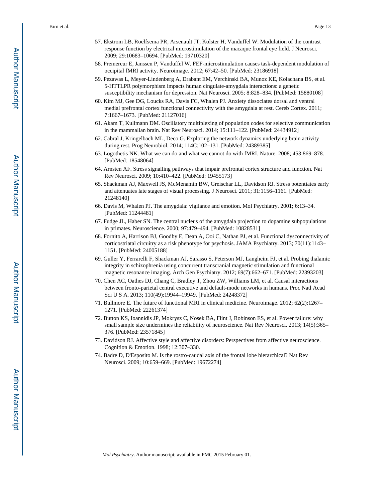- 57. Ekstrom LB, Roelfsema PR, Arsenault JT, Kolster H, Vanduffel W. Modulation of the contrast response function by electrical microstimulation of the macaque frontal eye field. J Neurosci. 2009; 29:10683–10694. [PubMed: 19710320]
- 58. Premereur E, Janssen P, Vanduffel W. FEF-microstimulation causes task-dependent modulation of occipital fMRI activity. Neuroimage. 2012; 67:42–50. [PubMed: 23186918]
- 59. Pezawas L, Meyer-Lindenberg A, Drabant EM, Verchinski BA, Munoz KE, Kolachana BS, et al. 5-HTTLPR polymorphism impacts human cingulate-amygdala interactions: a genetic susceptibility mechanism for depression. Nat Neurosci. 2005; 8:828–834. [PubMed: 15880108]
- 60. Kim MJ, Gee DG, Loucks RA, Davis FC, Whalen PJ. Anxiety dissociates dorsal and ventral medial prefrontal cortex functional connectivity with the amygdala at rest. Cereb Cortex. 2011; 7:1667–1673. [PubMed: 21127016]
- 61. Akam T, Kullmann DM. Oscillatory multiplexing of population codes for selective communication in the mammalian brain. Nat Rev Neurosci. 2014; 15:111–122. [PubMed: 24434912]
- 62. Cabral J, Kringelbach ML, Deco G. Exploring the network dynamics underlying brain activity during rest. Prog Neurobiol. 2014; 114C:102–131. [PubMed: 24389385]
- 63. Logothetis NK. What we can do and what we cannot do with fMRI. Nature. 2008; 453:869–878. [PubMed: 18548064]
- 64. Arnsten AF. Stress signalling pathways that impair prefrontal cortex structure and function. Nat Rev Neurosci. 2009; 10:410–422. [PubMed: 19455173]
- 65. Shackman AJ, Maxwell JS, McMenamin BW, Greischar LL, Davidson RJ. Stress potentiates early and attenuates late stages of visual processing. J Neurosci. 2011; 31:1156–1161. [PubMed: 21248140]
- 66. Davis M, Whalen PJ. The amygdala: vigilance and emotion. Mol Psychiatry. 2001; 6:13–34. [PubMed: 11244481]
- 67. Fudge JL, Haber SN. The central nucleus of the amygdala projection to dopamine subpopulations in primates. Neuroscience. 2000; 97:479–494. [PubMed: 10828531]
- 68. Fornito A, Harrison BJ, Goodby E, Dean A, Ooi C, Nathan PJ, et al. Functional dysconnectivity of corticostriatal circuitry as a risk phenotype for psychosis. JAMA Psychiatry. 2013; 70(11):1143– 1151. [PubMed: 24005188]
- 69. Guller Y, Ferrarelli F, Shackman AJ, Sarasso S, Peterson MJ, Langheim FJ, et al. Probing thalamic integrity in schizophrenia using concurrent transcranial magnetic stimulation and functional magnetic resonance imaging. Arch Gen Psychiatry. 2012; 69(7):662–671. [PubMed: 22393203]
- 70. Chen AC, Oathes DJ, Chang C, Bradley T, Zhou ZW, Williams LM, et al. Causal interactions between fronto-parietal central executive and default-mode networks in humans. Proc Natl Acad Sci U S A. 2013; 110(49):19944–19949. [PubMed: 24248372]
- 71. Bullmore E. The future of functional MRI in clinical medicine. Neuroimage. 2012; 62(2):1267– 1271. [PubMed: 22261374]
- 72. Button KS, Ioannidis JP, Mokrysz C, Nosek BA, Flint J, Robinson ES, et al. Power failure: why small sample size undermines the reliability of neuroscience. Nat Rev Neurosci. 2013; 14(5):365– 376. [PubMed: 23571845]
- 73. Davidson RJ. Affective style and affective disorders: Perspectives from affective neuroscience. Cognition & Emotion. 1998; 12:307–330.
- 74. Badre D, D'Esposito M. Is the rostro-caudal axis of the frontal lobe hierarchical? Nat Rev Neurosci. 2009; 10:659–669. [PubMed: 19672274]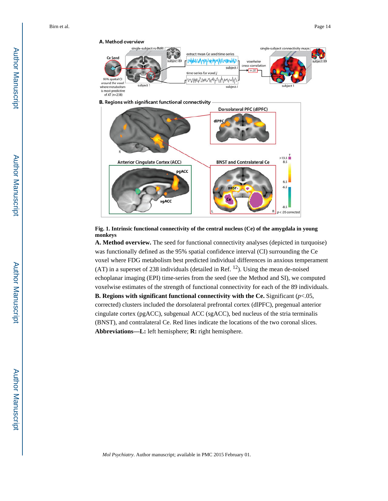

**B.** Regions with significant functional connectivity



**Fig. 1. Intrinsic functional connectivity of the central nucleus (Ce) of the amygdala in young monkeys**

**A. Method overview.** The seed for functional connectivity analyses (depicted in turquoise) was functionally defined as the 95% spatial confidence interval (CI) surrounding the Ce voxel where FDG metabolism best predicted individual differences in anxious temperament  $(AT)$  in a superset of 238 individuals (detailed in Ref.  $^{12}$ ). Using the mean de-noised echoplanar imaging (EPI) time-series from the seed (see the Method and SI), we computed voxelwise estimates of the strength of functional connectivity for each of the 89 individuals.

**B. Regions with significant functional connectivity with the Ce. Significant**  $(p<.05$ **,** corrected) clusters included the dorsolateral prefrontal cortex (dlPFC), pregenual anterior cingulate cortex (pgACC), subgenual ACC (sgACC), bed nucleus of the stria terminalis (BNST), and contralateral Ce. Red lines indicate the locations of the two coronal slices. **Abbreviations—L:** left hemisphere; **R:** right hemisphere.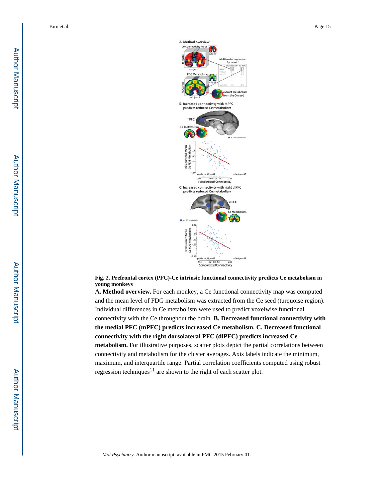

**Fig. 2. Prefrontal cortex (PFC)-Ce intrinsic functional connectivity predicts Ce metabolism in young monkeys**

**A. Method overview.** For each monkey, a Ce functional connectivity map was computed and the mean level of FDG metabolism was extracted from the Ce seed (turquoise region). Individual differences in Ce metabolism were used to predict voxelwise functional connectivity with the Ce throughout the brain. **B. Decreased functional connectivity with the medial PFC (mPFC) predicts increased Ce metabolism. C. Decreased functional connectivity with the right dorsolateral PFC (dlPFC) predicts increased Ce metabolism.** For illustrative purposes, scatter plots depict the partial correlations between connectivity and metabolism for the cluster averages. Axis labels indicate the minimum, maximum, and interquartile range. Partial correlation coefficients computed using robust regression techniques<sup>11</sup> are shown to the right of each scatter plot.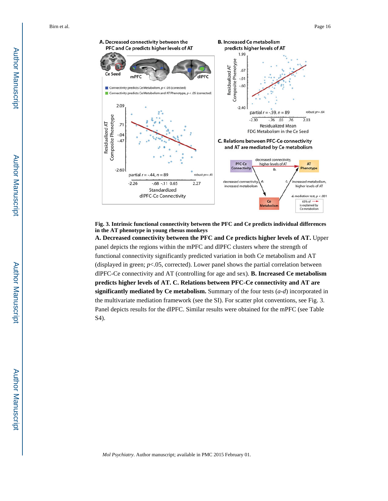

**Fig. 3. Intrinsic functional connectivity between the PFC and Ce predicts individual differences in the AT phenotype in young rhesus monkeys**

**A. Decreased connectivity between the PFC and Ce predicts higher levels of AT.** Upper panel depicts the regions within the mPFC and dlPFC clusters where the strength of functional connectivity significantly predicted variation in both Ce metabolism and AT (displayed in green;  $p$ <.05, corrected). Lower panel shows the partial correlation between dlPFC-Ce connectivity and AT (controlling for age and sex). **B. Increased Ce metabolism predicts higher levels of AT. C. Relations between PFC-Ce connectivity and AT are significantly mediated by Ce metabolism.** Summary of the four tests (*a*-*d*) incorporated in the multivariate mediation framework (see the SI). For scatter plot conventions, see Fig. 3. Panel depicts results for the dlPFC. Similar results were obtained for the mPFC (see Table S4).